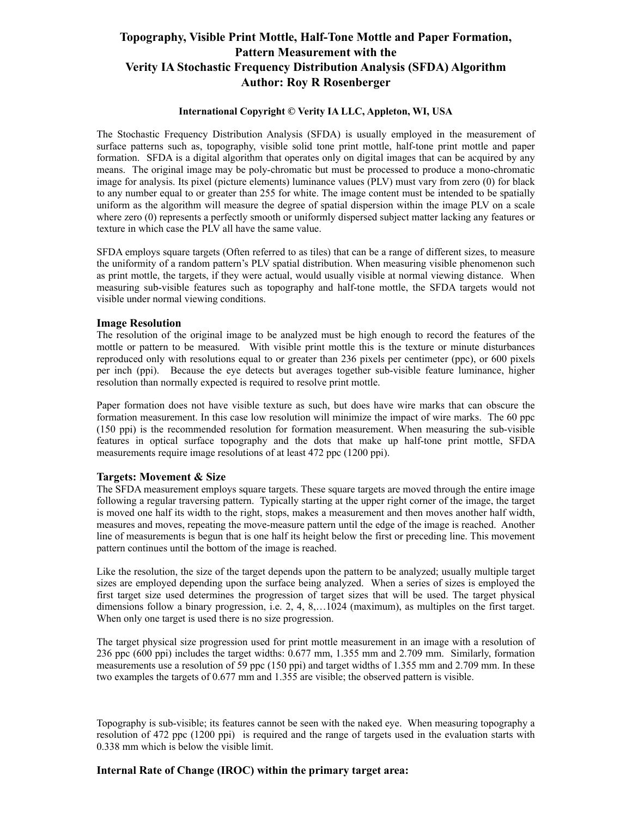## **Topography, Visible Print Mottle, Half-Tone Mottle and Paper Formation, Pattern Measurement with the Verity IA Stochastic Frequency Distribution Analysis (SFDA) Algorithm Author: Roy R Rosenberger**

#### **International Copyright © Verity IA LLC, Appleton, WI, USA**

The Stochastic Frequency Distribution Analysis (SFDA) is usually employed in the measurement of surface patterns such as, topography, visible solid tone print mottle, half-tone print mottle and paper formation. SFDA is a digital algorithm that operates only on digital images that can be acquired by any means. The original image may be poly-chromatic but must be processed to produce a mono-chromatic image for analysis. Its pixel (picture elements) luminance values (PLV) must vary from zero (0) for black to any number equal to or greater than 255 for white. The image content must be intended to be spatially uniform as the algorithm will measure the degree of spatial dispersion within the image PLV on a scale where zero (0) represents a perfectly smooth or uniformly dispersed subject matter lacking any features or texture in which case the PLV all have the same value.

SFDA employs square targets (Often referred to as tiles) that can be a range of different sizes, to measure the uniformity of a random pattern's PLV spatial distribution. When measuring visible phenomenon such as print mottle, the targets, if they were actual, would usually visible at normal viewing distance. When measuring sub-visible features such as topography and half-tone mottle, the SFDA targets would not visible under normal viewing conditions.

#### **Image Resolution**

The resolution of the original image to be analyzed must be high enough to record the features of the mottle or pattern to be measured. With visible print mottle this is the texture or minute disturbances reproduced only with resolutions equal to or greater than 236 pixels per centimeter (ppc), or 600 pixels per inch (ppi). Because the eye detects but averages together sub-visible feature luminance, higher resolution than normally expected is required to resolve print mottle.

Paper formation does not have visible texture as such, but does have wire marks that can obscure the formation measurement. In this case low resolution will minimize the impact of wire marks. The 60 ppc (150 ppi) is the recommended resolution for formation measurement. When measuring the sub-visible features in optical surface topography and the dots that make up half-tone print mottle, SFDA measurements require image resolutions of at least 472 ppc (1200 ppi).

#### **Targets: Movement & Size**

The SFDA measurement employs square targets. These square targets are moved through the entire image following a regular traversing pattern. Typically starting at the upper right corner of the image, the target is moved one half its width to the right, stops, makes a measurement and then moves another half width, measures and moves, repeating the move-measure pattern until the edge of the image is reached. Another line of measurements is begun that is one half its height below the first or preceding line. This movement pattern continues until the bottom of the image is reached.

Like the resolution, the size of the target depends upon the pattern to be analyzed; usually multiple target sizes are employed depending upon the surface being analyzed. When a series of sizes is employed the first target size used determines the progression of target sizes that will be used. The target physical dimensions follow a binary progression, i.e. 2, 4, 8,…1024 (maximum), as multiples on the first target. When only one target is used there is no size progression.

The target physical size progression used for print mottle measurement in an image with a resolution of 236 ppc (600 ppi) includes the target widths: 0.677 mm, 1.355 mm and 2.709 mm. Similarly, formation measurements use a resolution of 59 ppc (150 ppi) and target widths of 1.355 mm and 2.709 mm. In these two examples the targets of 0.677 mm and 1.355 are visible; the observed pattern is visible.

Topography is sub-visible; its features cannot be seen with the naked eye. When measuring topography a resolution of 472 ppc (1200 ppi) is required and the range of targets used in the evaluation starts with 0.338 mm which is below the visible limit.

#### **Internal Rate of Change (IROC) within the primary target area:**